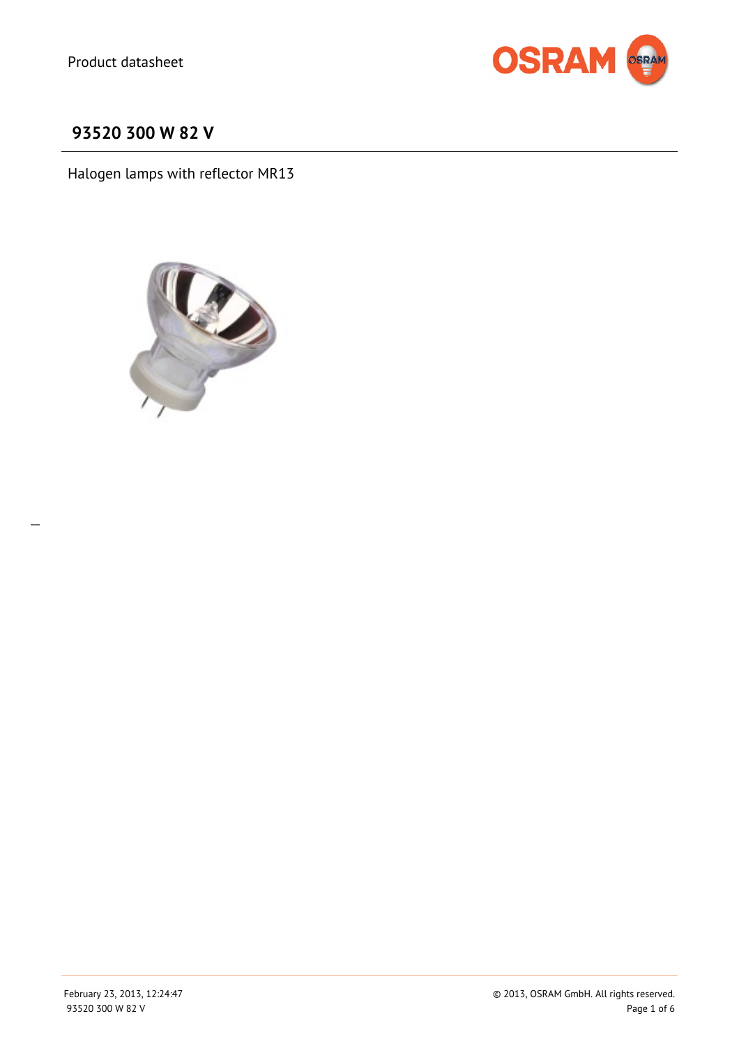

# **93520 300 W 82 V**

Halogen lamps with reflector MR13



 $\overline{a}$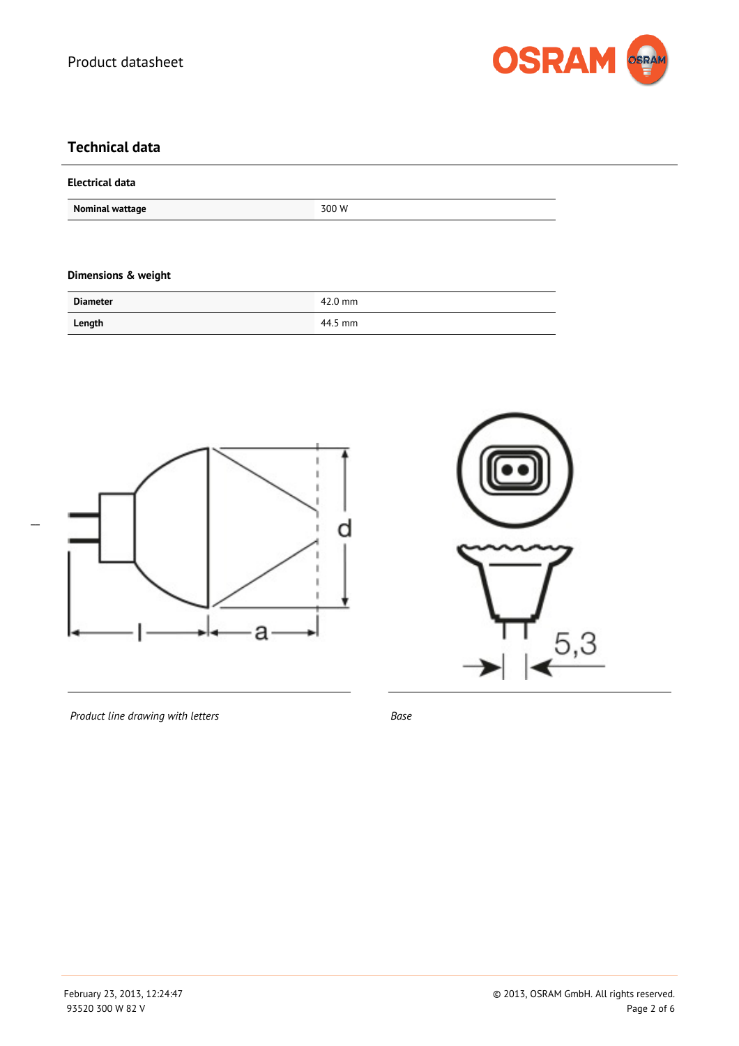

### **Technical data**

#### **Electrical data**

**Nominal wattage 300 W** 

#### **Dimensions & weight**

| <b>Diameter</b> | $42.0$ mm |
|-----------------|-----------|
| Length          | 44.5 mm   |





*Product line drawing with letters Base*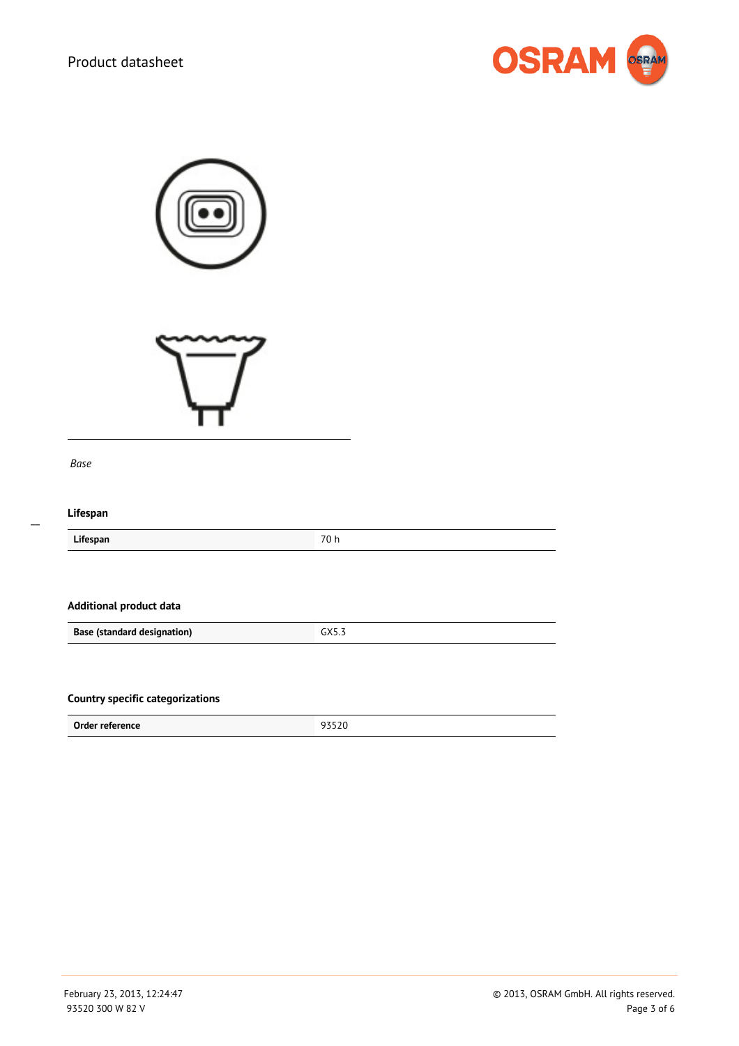

| Base                                    |       |
|-----------------------------------------|-------|
| Lifespan                                |       |
| Lifespan                                | 70 h  |
| <b>Additional product data</b>          |       |
| <b>Base (standard designation)</b>      | GX5.3 |
| <b>Country specific categorizations</b> |       |
| Order reference                         | 93520 |

 $\overline{a}$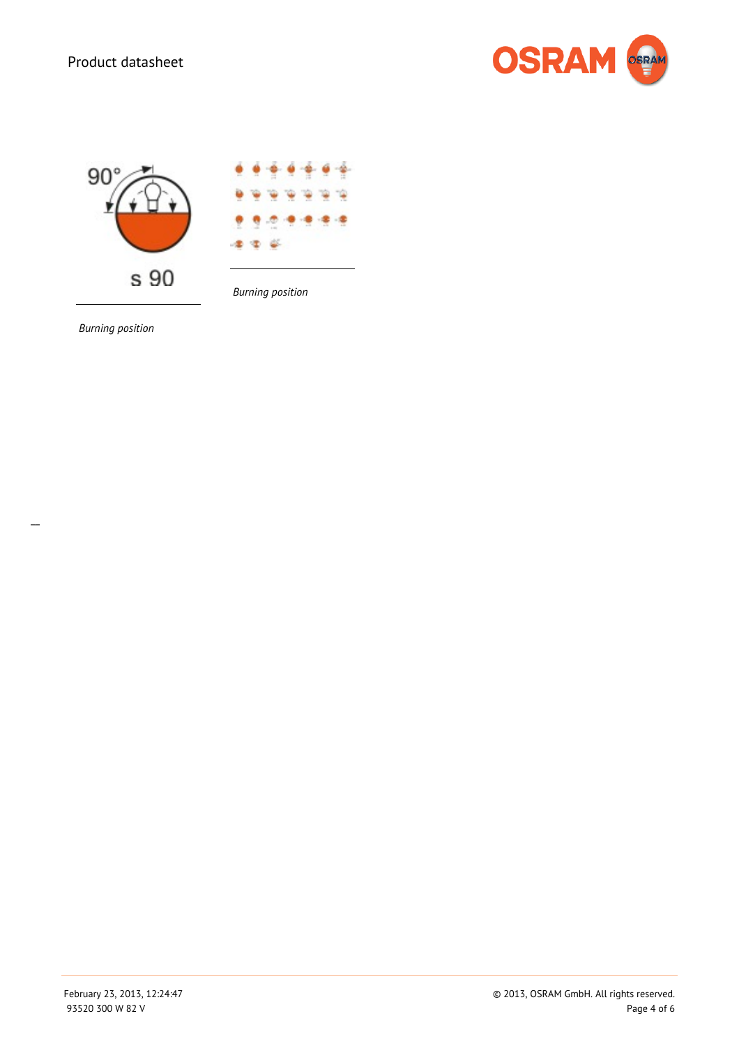



*Burning position*

*Burning position*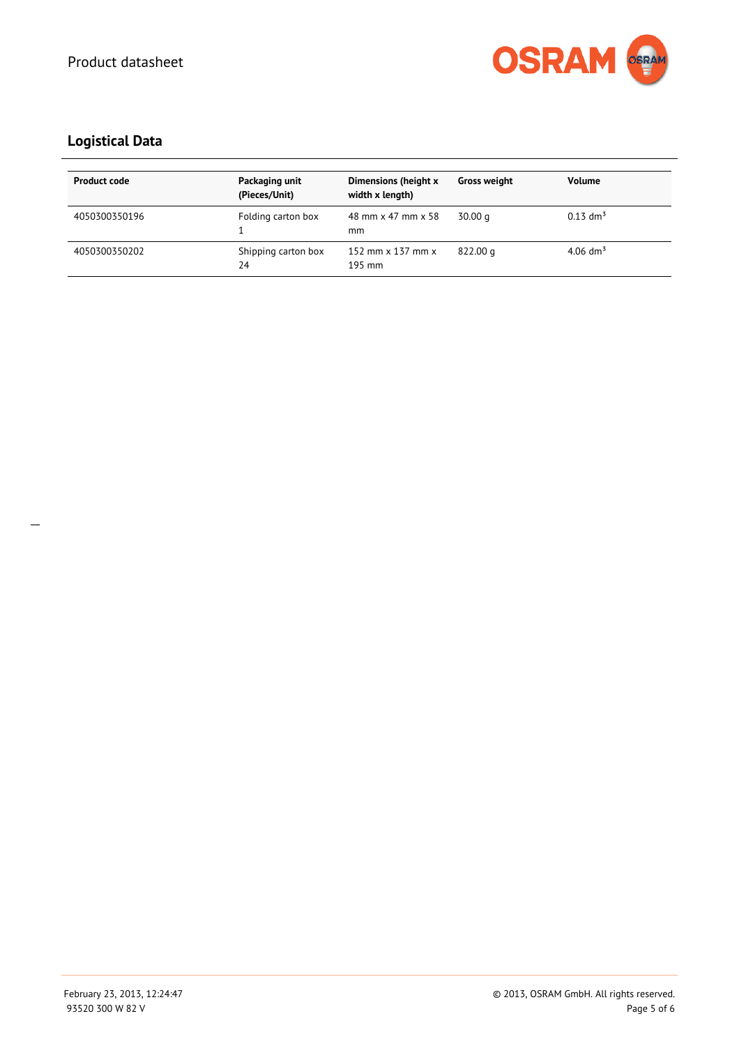

## **Logistical Data**

| <b>Product code</b> | Packaging unit<br>(Pieces/Unit) | Dimensions (height x<br>width x length)   | <b>Gross weight</b> | <b>Volume</b>          |
|---------------------|---------------------------------|-------------------------------------------|---------------------|------------------------|
| 4050300350196       | Folding carton box              | 48 mm x 47 mm x 58<br>mm                  | 30.00 g             | $0.13$ dm <sup>3</sup> |
| 4050300350202       | Shipping carton box<br>24       | 152 mm $\times$ 137 mm $\times$<br>195 mm | 822.00 g            | $4.06$ dm <sup>3</sup> |